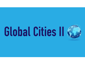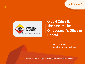**June 2017**



**Global Cities II: The case of The Ombudsman's Office in Bogotá** 

> **Jaime Torres -Melo** Ombudsman of Bogotá, Colombia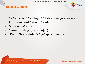### **Table of Contents**



.

- 1. The Ombudsman´s Office for Bogotá D.C: institutional arrangement and jurisdiction
- 2. Anticorruption Approach Focused on Prevention
- 3. Ombudsman´s Office Units
- 4. Transparency challenges (Index and projects)
- 5. LABcapital: The innovation Lab for Bogotá´s public management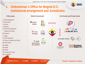

.

# **1. Ombudsman´s Office for Bogotá D.C: institutional arrangement and Jurisdiction**



- **14**. Security and Justice
- **15**. Legal Affairs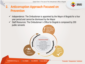

.

## **2. Anticorruption Approach Focused on Prevention**

- Independence: The Ombudsman is appointed by the Mayor of Bogotá for a four year period and cannot be dismissed by the Mayor
- $\checkmark$  Staff Resources: The Ombudsman's Office for Bogotá is composed by 200 public servants

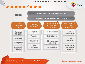#### **VEEDURÍA**<br>DISTRITAL G

.

## **Ombudsman´s Office Units**

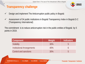## **Transparency challenge**



.

- $\checkmark$  Design and implement The Anticorruption public policy in Bogotá
- Assessment of 34 public institutions in Bogotá Transparency Index in Bogotá D.C (Transparency International)

The commitment is to reduce anticorruption risk in the public entities of Bogotá by 5 points in 2019.

| <b>Component</b>                  | Weight <sup>1</sup> | <b>Indicators</b> |
|-----------------------------------|---------------------|-------------------|
| <b>Visibility</b>                 | 30%                 | $\mathsf{h}$      |
| <b>Institutional Arrangements</b> | 40%                 |                   |
| Control and sanctions             | 30%                 | $\mathsf{h}$      |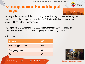## **Anticorruption project in a public hospital in Bogotá**



**EEDUR** 

.

Kennedy is the biggest public hospital in Bogotá. It offers very complex and costly health care services to the poor population in the city. Patients wait in line at night for an average of 6 hours to get appointments

The project aims to identify administrative inefficiencies and corruption risks that interfere with service delivery based on quality and opportunity standards.

Methodology:

| <b>Surveys</b>               | 662 |
|------------------------------|-----|
| <b>External appointments</b> | 525 |
| <b>Emergency room</b>        | 83  |
| <b>Staff</b>                 | 52  |
|                              |     |

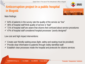# **Anticorruption project in a public hospital in Bogotá**



Main findings:

- $\checkmark$  64% of patients in the survey rate the quality of the service as "low"
- $\checkmark$  46% of hospital staff think quality of service is "bad"
- $\checkmark$  71% of hospital staff are aware that citizens feel confused about service procedures
- $\checkmark$  47% of hospital staff considered hospital processes "poorly designed"

Low cost and high impact interventions:

- $\checkmark$  Create user friendly waiting areas (light, safety and seating must be provided)
- $\checkmark$  Provide clear information to patients through visibly identified staff
- $\checkmark$  Establish clear processes inside the hospital and protocols for citizens services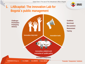

.

## **1. LABcapital: The innovation Lab for Bogotá´s public management**

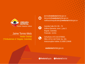

#### Jaime Torres-Melo

Veedor Distrital (\*Ombudsman of Bogotá, Colombia)



jtorres@**veeduria**distrital.gov.co denuncie@**veeduria**distrital.gov.co notificacionesjudiciales@**veeduria**distrital.gov.co

 $\boldsymbol{\Omega}$ 

Avenida Calle 26 # 69 – 76 Edificio Elemento, torre 1, piso 3. Bogotá, Colombia Postcode 111311

 $\mathbf{\Theta}$ 

Cell phone (+57) 315 6705921 PBX.(+571) 3 40 76 66 Ext. 201 Antocorruption hotline: 01 8000 124646

**veeduria**distrital.gov.co

**O**VeeduriaBogota

**O**VeeduriaDistrital